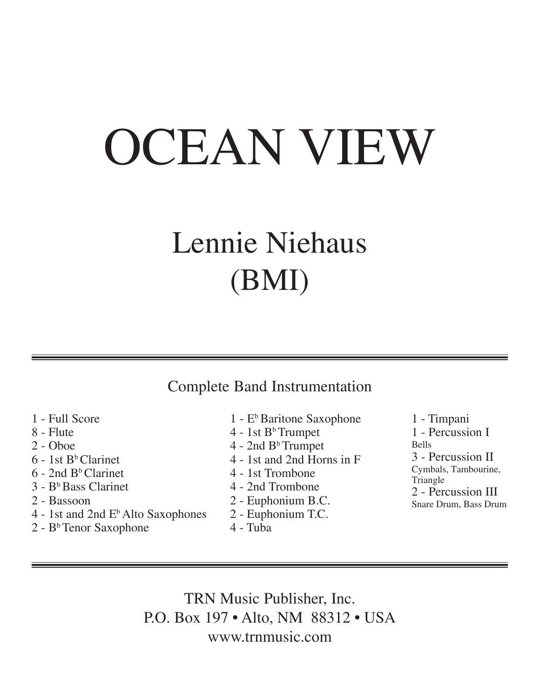# OCEAN VIEW

## Lennie Niehaus (BMI)

### Complete Band Instrumentation

- 1 Full Score
- 8 Flute
- 2 Oboe
- $6 1$ st B<sup>b</sup> Clarinet
- $6 2$ nd B<sup>b</sup> Clarinet
- 3 B<sup>b</sup> Bass Clarinet
- 2 Bassoon
- 4 1st and 2nd Eb Alto Saxophones
- 2 Bb Tenor Saxophone
- $1$   $E<sup>b</sup>$  Baritone Saxophone
- $4 1$ st B<sup>b</sup> Trumpet
- $4 2$ nd B<sup>b</sup> Trumpet
- 4 1st and 2nd Horns in F
- 4 1st Trombone
- 4 2nd Trombone
- 2 Euphonium B.C.
- 2 Euphonium T.C.
- 4 Tuba

1 - Timpani 1 - Percussion I Bells 3 - Percussion II Cymbals, Tambourine, Triangle 2 - Percussion III Snare Drum, Bass Drum

TRN Music Publisher, Inc. P.O. Box 197 • Alto, NM 88312 • USA www.trnmusic.com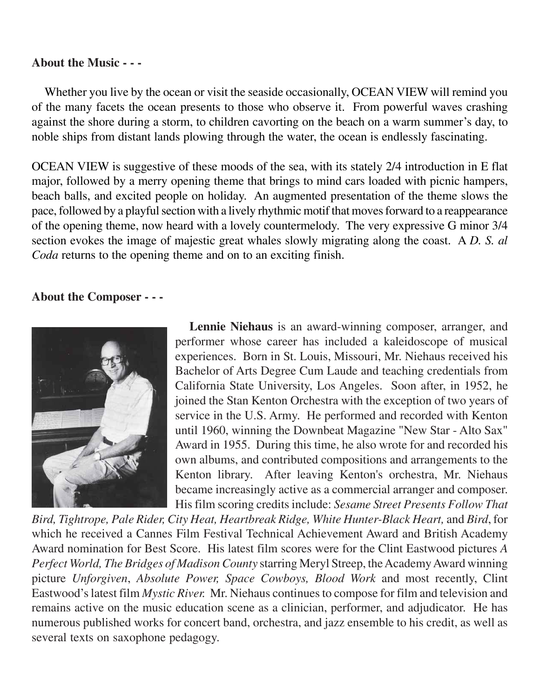#### **About the Music - - -**

Whether you live by the ocean or visit the seaside occasionally, OCEAN VIEW will remind you of the many facets the ocean presents to those who observe it. From powerful waves crashing against the shore during a storm, to children cavorting on the beach on a warm summer's day, to noble ships from distant lands plowing through the water, the ocean is endlessly fascinating.

OCEAN VIEW is suggestive of these moods of the sea, with its stately 2/4 introduction in E flat major, followed by a merry opening theme that brings to mind cars loaded with picnic hampers, beach balls, and excited people on holiday. An augmented presentation of the theme slows the pace, followed by a playful section with a lively rhythmic motif that moves forward to a reappearance of the opening theme, now heard with a lovely countermelody. The very expressive G minor 3/4 section evokes the image of majestic great whales slowly migrating along the coast. A *D. S. al Coda* returns to the opening theme and on to an exciting finish.

#### **About the Composer - - -**



 **Lennie Niehaus** is an award-winning composer, arranger, and performer whose career has included a kaleidoscope of musical experiences. Born in St. Louis, Missouri, Mr. Niehaus received his Bachelor of Arts Degree Cum Laude and teaching credentials from California State University, Los Angeles. Soon after, in 1952, he joined the Stan Kenton Orchestra with the exception of two years of service in the U.S. Army. He performed and recorded with Kenton until 1960, winning the Downbeat Magazine "New Star - Alto Sax" Award in 1955. During this time, he also wrote for and recorded his own albums, and contributed compositions and arrangements to the Kenton library. After leaving Kenton's orchestra, Mr. Niehaus became increasingly active as a commercial arranger and composer. His film scoring credits include: *Sesame Street Presents Follow That*

*Bird, Tightrope, Pale Rider, City Heat, Heartbreak Ridge, White Hunter-Black Heart,* and *Bird*, for which he received a Cannes Film Festival Technical Achievement Award and British Academy Award nomination for Best Score. His latest film scores were for the Clint Eastwood pictures *A Perfect World, The Bridges of Madison County* starring Meryl Streep, the Academy Award winning picture *Unforgiven*, *Absolute Power, Space Cowboys, Blood Work* and most recently, Clint Eastwood's latest film *Mystic River.* Mr. Niehaus continues to compose for film and television and remains active on the music education scene as a clinician, performer, and adjudicator. He has numerous published works for concert band, orchestra, and jazz ensemble to his credit, as well as several texts on saxophone pedagogy.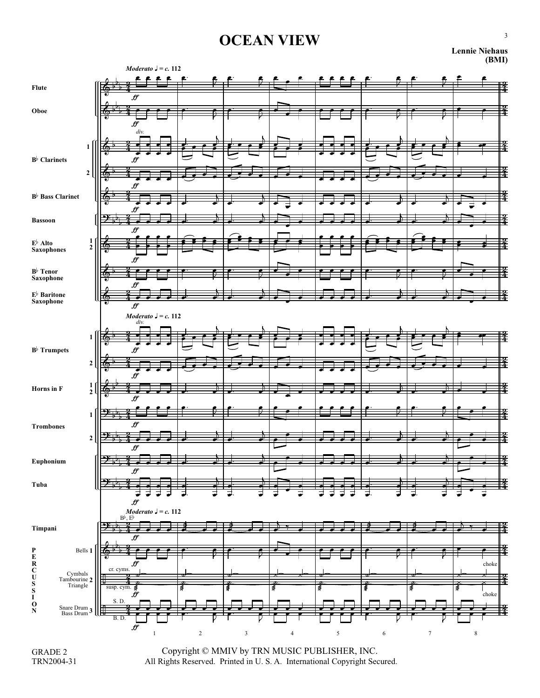#### **OCEAN VIEW**

3



TRN2004-31 GRADE 2

Copyright © MMIV by TRN MUSIC PUBLISHER, INC. All Rights Reserved. Printed in U. S. A. International Copyright Secured.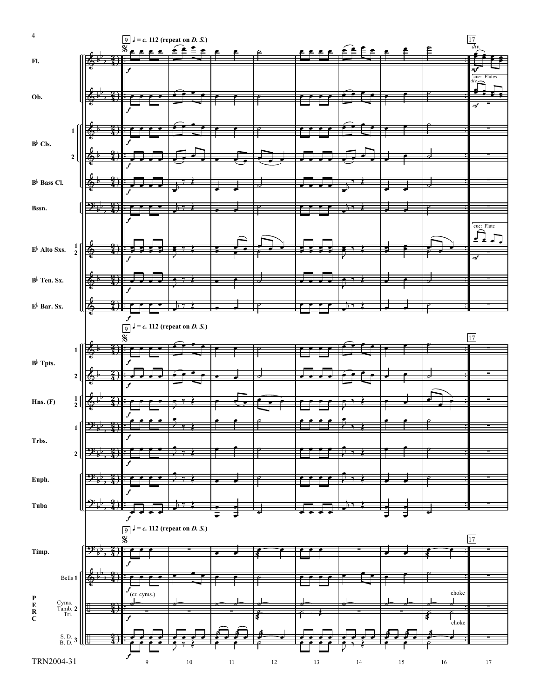